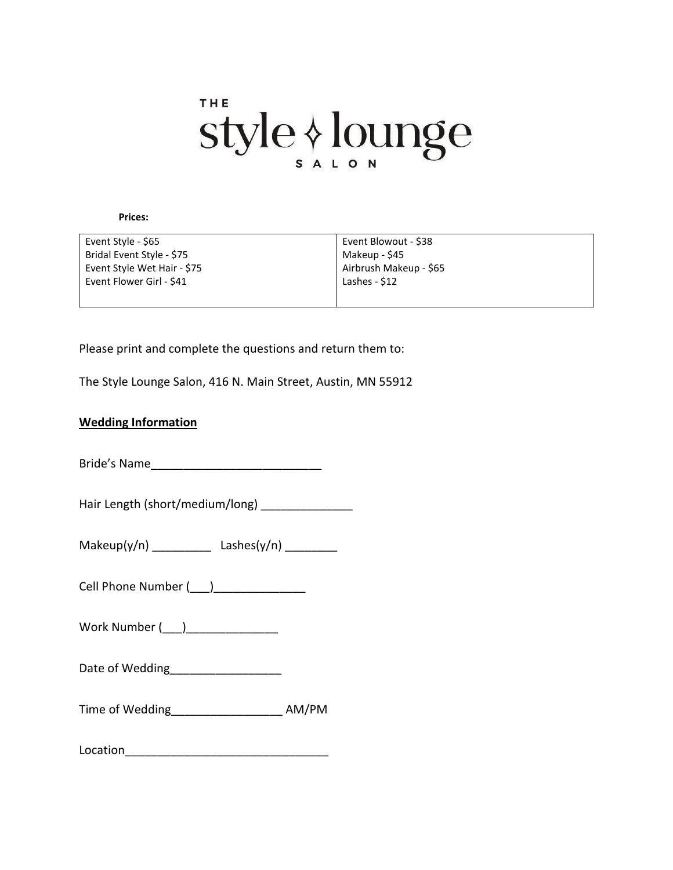# THE style & lounge

**Prices:**

| Event Style - \$65          | Event Blowout - \$38   |
|-----------------------------|------------------------|
| Bridal Event Style - \$75   | Makeup - \$45          |
| Event Style Wet Hair - \$75 | Airbrush Makeup - \$65 |
| Event Flower Girl - \$41    | Lashes - \$12          |
|                             |                        |

Please print and complete the questions and return them to:

The Style Lounge Salon, 416 N. Main Street, Austin, MN 55912

#### **Wedding Information**

Bride's Name\_\_\_\_\_\_\_\_\_\_\_\_\_\_\_\_\_\_\_\_\_\_\_\_\_\_

Hair Length (short/medium/long)

 $Makeup(y/n)$  \_\_\_\_\_\_\_\_\_\_ Lashes(y/n) \_\_\_\_\_\_\_\_\_

Cell Phone Number ( \_\_\_)

Work Number  $(\_)$ 

Date of Wedding

Time of Wedding\_\_\_\_\_\_\_\_\_\_\_\_\_\_\_\_\_ AM/PM

 $\textbf{Location} \quad \textcolor{red}{\overbrace{\text{Location}}}\quad \textcolor{red}{\overbrace{\text{Location}}}\quad \textcolor{red}{\overbrace{\text{Location}}}\quad \textcolor{red}{\overbrace{\text{Conjecture}}}\quad \textcolor{red}{\overbrace{\text{Conjecture}}}\quad \textcolor{red}{\overbrace{\text{Conjecture}}}\quad \textcolor{red}{\overbrace{\text{Conjecture}}}\quad \textcolor{red}{\overbrace{\text{Conjecture}}}\quad \textcolor{red}{\overbrace{\text{Conjecture}}}\quad \textcolor{red}{\overbrace{\text{Conjecture}}}\quad \textcolor{red}{\overbrace{\text{Conjecture}}}\quad \textcolor{red}{\overbrace{\text{Conjecture}}}\quad \text$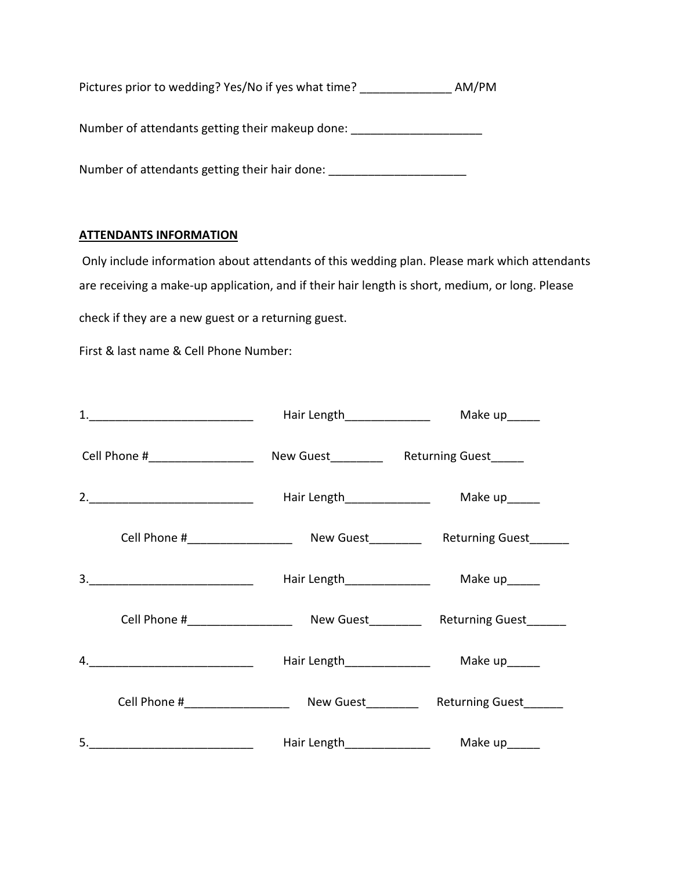Pictures prior to wedding? Yes/No if yes what time? \_\_\_\_\_\_\_\_\_\_\_\_\_\_\_\_ AM/PM

Number of attendants getting their makeup done: \_\_\_\_\_\_\_\_\_\_\_\_\_\_\_\_\_\_\_\_\_\_\_\_\_\_\_\_\_\_\_\_

Number of attendants getting their hair done: \_\_\_\_\_\_\_\_\_\_\_\_\_\_\_\_\_\_\_\_\_\_\_\_\_\_\_\_\_\_\_\_\_\_

## **ATTENDANTS INFORMATION**

Only include information about attendants of this wedding plan. Please mark which attendants are receiving a make-up application, and if their hair length is short, medium, or long. Please check if they are a new guest or a returning guest.

First & last name & Cell Phone Number:

|                                                                                | Hair Length_______________   | Make up______                                                                    |
|--------------------------------------------------------------------------------|------------------------------|----------------------------------------------------------------------------------|
| Cell Phone #______________________ New Guest____________ Returning Guest______ |                              |                                                                                  |
|                                                                                | Hair Length_________________ | Make up______                                                                    |
|                                                                                |                              |                                                                                  |
|                                                                                | Hair Length_________________ | Make up______                                                                    |
|                                                                                |                              | Cell Phone #________________________ New Guest____________ Returning Guest______ |
|                                                                                | Hair Length________________  | Make up______                                                                    |
|                                                                                |                              | Cell Phone #_______________________ New Guest___________ Returning Guest_______  |
|                                                                                | Hair Length________________  | Make up______                                                                    |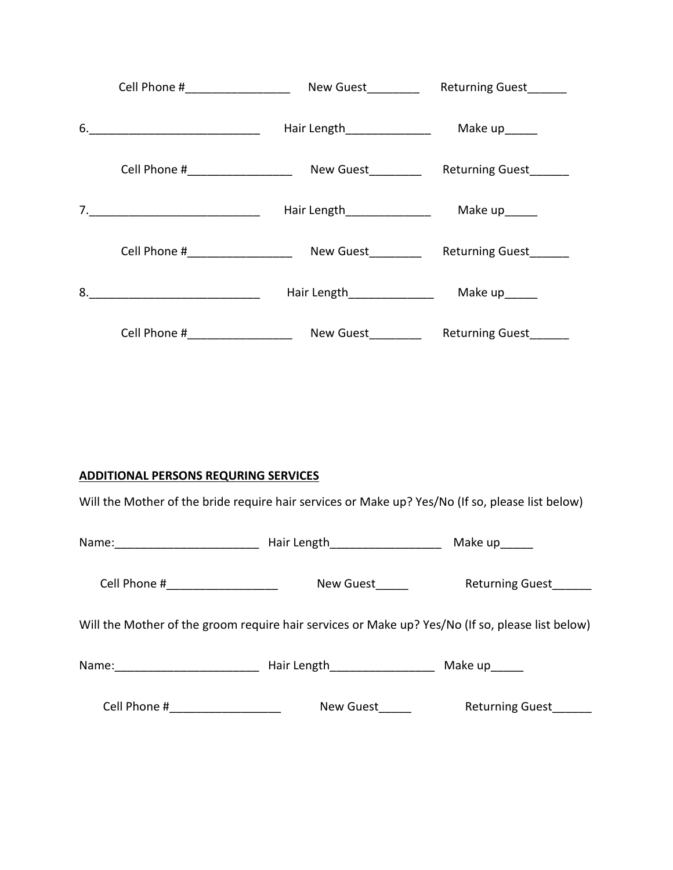|    | Cell Phone #____________________                                                                                      | New Guest__________         | Returning Guest        |
|----|-----------------------------------------------------------------------------------------------------------------------|-----------------------------|------------------------|
|    | $6. \underline{\hspace{2cm}}$                                                                                         | Hair Length________________ | Make up______          |
|    | Cell Phone #______________________ New Guest___________ Returning Guest_______                                        |                             |                        |
|    |                                                                                                                       | Hair Length_______________  | Make up______          |
|    | Cell Phone #____________________                                                                                      | New Guest_________          | Returning Guest______  |
| 8. | <u> 1980 - Johann Barn, mars ann an t-Amhain Aonaich an t-Aonaich an t-Aonaich an t-Aonaich an t-Aonaich an t-Aon</u> | Hair Length_______________  | Make up______          |
|    |                                                                                                                       |                             | <b>Returning Guest</b> |

# **ADDITIONAL PERSONS REQURING SERVICES**

Will the Mother of the bride require hair services or Make up? Yes/No (If so, please list below)

|                                                                                                  | Hair Length<br><u>Length</u><br>Length<br>Length<br>Length<br>Length<br>Length<br>Length<br>Length<br>Length<br>Length<br>Length<br>Length<br>Length<br>Length<br>Length<br>Length<br>Length<br>Length<br>Length<br>Length<br>Length<br>Length<br>Length<br>Length<br>Length<br>Length<br> | Make up_____           |
|--------------------------------------------------------------------------------------------------|--------------------------------------------------------------------------------------------------------------------------------------------------------------------------------------------------------------------------------------------------------------------------------------------|------------------------|
| Cell Phone #_____________________                                                                | New Guest                                                                                                                                                                                                                                                                                  | Returning Guest____    |
| Will the Mother of the groom require hair services or Make up? Yes/No (If so, please list below) |                                                                                                                                                                                                                                                                                            |                        |
| Name: ____________________________                                                               | Hair Length____________________                                                                                                                                                                                                                                                            | Make up______          |
| Cell Phone # _______________                                                                     | New Guest                                                                                                                                                                                                                                                                                  | <b>Returning Guest</b> |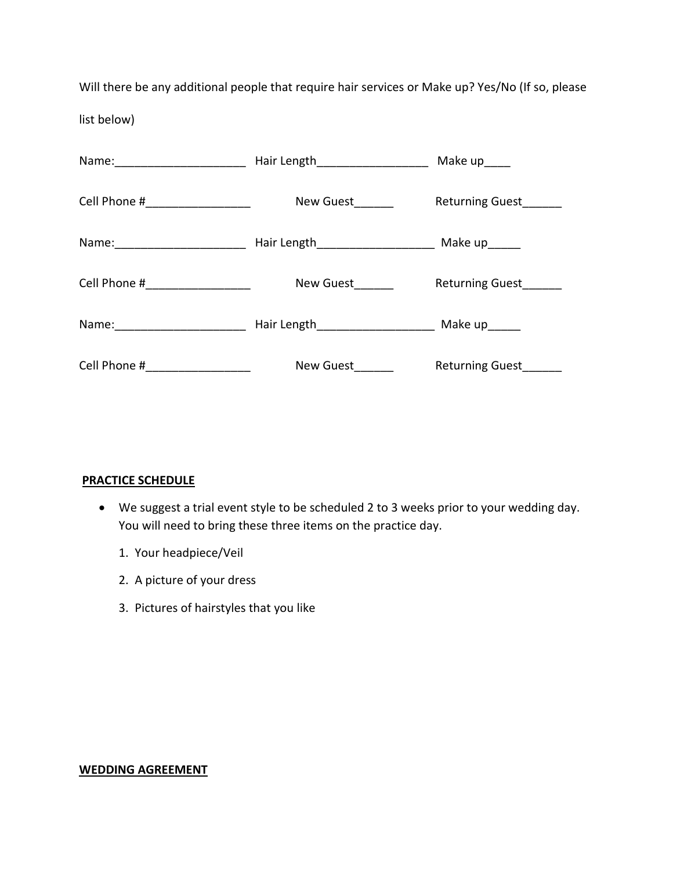Will there be any additional people that require hair services or Make up? Yes/No (If so, please list below)

| Name: _______________________  | Hair Length______________________                  | Make up_____           |
|--------------------------------|----------------------------------------------------|------------------------|
| Cell Phone # _________________ | New Guest                                          | <b>Returning Guest</b> |
|                                | Hair Length_________________________ Make up______ |                        |
| Cell Phone # ________________  | New Guest                                          | <b>Returning Guest</b> |
| Name: ______________________   | Hair Length________________________ Make up______  |                        |
| Cell Phone #                   | New Guest                                          | <b>Returning Guest</b> |

## **PRACTICE SCHEDULE**

- We suggest a trial event style to be scheduled 2 to 3 weeks prior to your wedding day. You will need to bring these three items on the practice day.
	- 1. Your headpiece/Veil
	- 2. A picture of your dress
	- 3. Pictures of hairstyles that you like

### **WEDDING AGREEMENT**